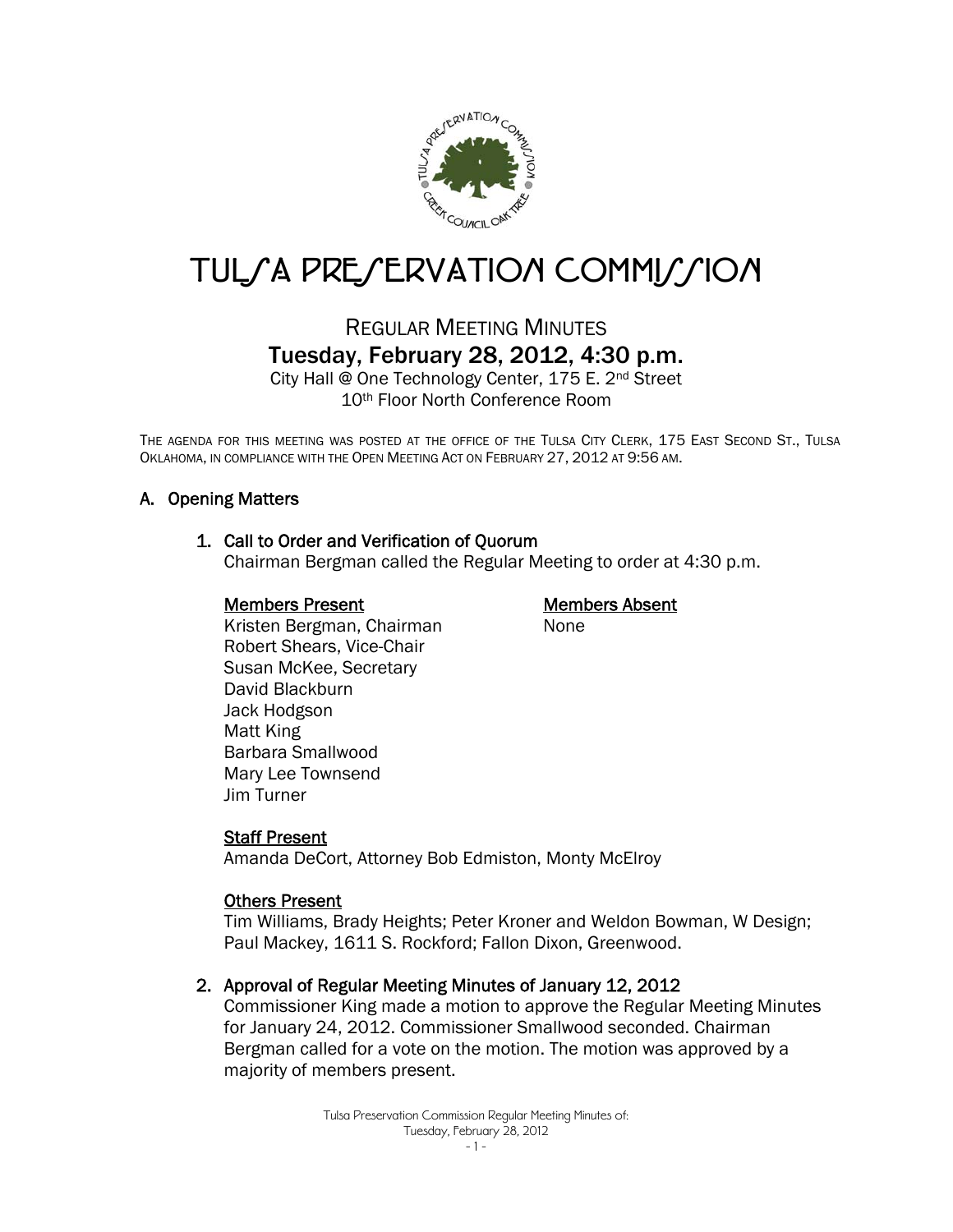

# TUL/A PRE/ERVATION COMMI//ION

## REGULAR MEETING MINUTES Tuesday, February 28, 2012, 4:30 p.m.

City Hall @ One Technology Center, 175 E. 2nd Street 10th Floor North Conference Room

THE AGENDA FOR THIS MEETING WAS POSTED AT THE OFFICE OF THE TULSA CITY CLERK, 175 EAST SECOND ST., TULSA OKLAHOMA, IN COMPLIANCE WITH THE OPEN MEETING ACT ON FEBRUARY 27, 2012 AT 9:56 AM.

#### A. Opening Matters

#### 1. Call to Order and Verification of Quorum

Chairman Bergman called the Regular Meeting to order at 4:30 p.m.

#### Members Present

#### Members Absent

None

 Kristen Bergman, Chairman Robert Shears, Vice-Chair Susan McKee, Secretary David Blackburn Jack Hodgson Matt King Barbara Smallwood Mary Lee Townsend Jim Turner

#### Staff Present

Amanda DeCort, Attorney Bob Edmiston, Monty McElroy

#### Others Present

Tim Williams, Brady Heights; Peter Kroner and Weldon Bowman, W Design; Paul Mackey, 1611 S. Rockford; Fallon Dixon, Greenwood.

#### 2. Approval of Regular Meeting Minutes of January 12, 2012

Commissioner King made a motion to approve the Regular Meeting Minutes for January 24, 2012. Commissioner Smallwood seconded. Chairman Bergman called for a vote on the motion. The motion was approved by a majority of members present.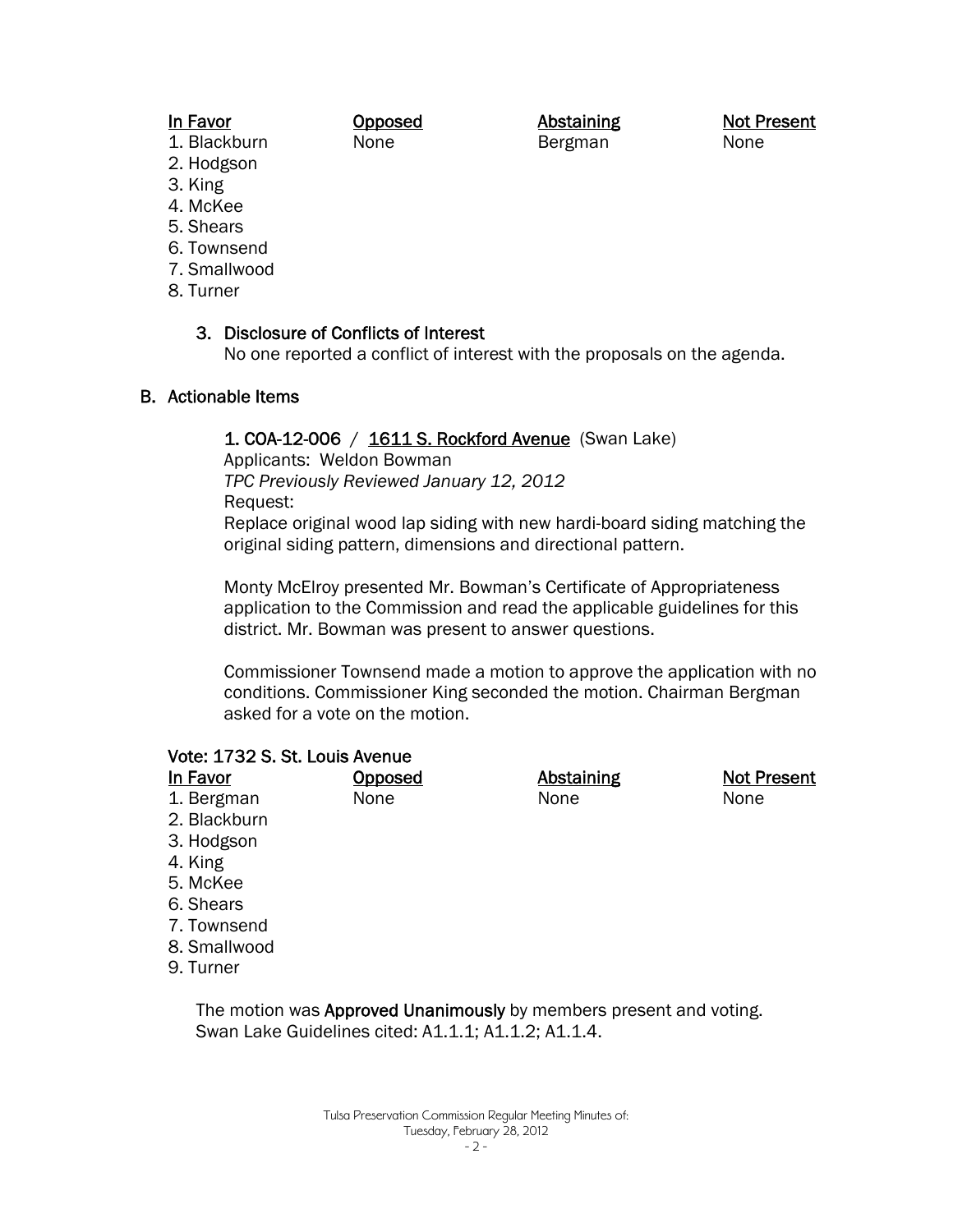#### In Favor

Opposed None

Abstaining Bergman

Not Present None

- 1. Blackburn 2. Hodgson
- 3. King
- 4. McKee
- 5. Shears
- 6. Townsend
- 7. Smallwood
- 8. Turner

#### 3. Disclosure of Conflicts of Interest

No one reported a conflict of interest with the proposals on the agenda.

#### B. Actionable Items

#### 1. COA-12-006 / 1611 S. Rockford Avenue (Swan Lake)

Applicants: Weldon Bowman

*TPC Previously Reviewed January 12, 2012*  Request:

Replace original wood lap siding with new hardi-board siding matching the original siding pattern, dimensions and directional pattern.

Monty McElroy presented Mr. Bowman's Certificate of Appropriateness application to the Commission and read the applicable guidelines for this district. Mr. Bowman was present to answer questions.

Commissioner Townsend made a motion to approve the application with no conditions. Commissioner King seconded the motion. Chairman Bergman asked for a vote on the motion.

#### Vote: 1732 S. St. Louis Avenue

| In Favor     | <b>Opposed</b> | <b>Abstaining</b> | <b>Not Present</b> |
|--------------|----------------|-------------------|--------------------|
| 1. Bergman   | None           | None              | None               |
| 2. Blackburn |                |                   |                    |
| 3. Hodgson   |                |                   |                    |

- 4. King
- 5. McKee
- 6. Shears
- 7. Townsend
- 8. Smallwood
- 9. Turner

The motion was **Approved Unanimously** by members present and voting. Swan Lake Guidelines cited: A1.1.1; A1.1.2; A1.1.4.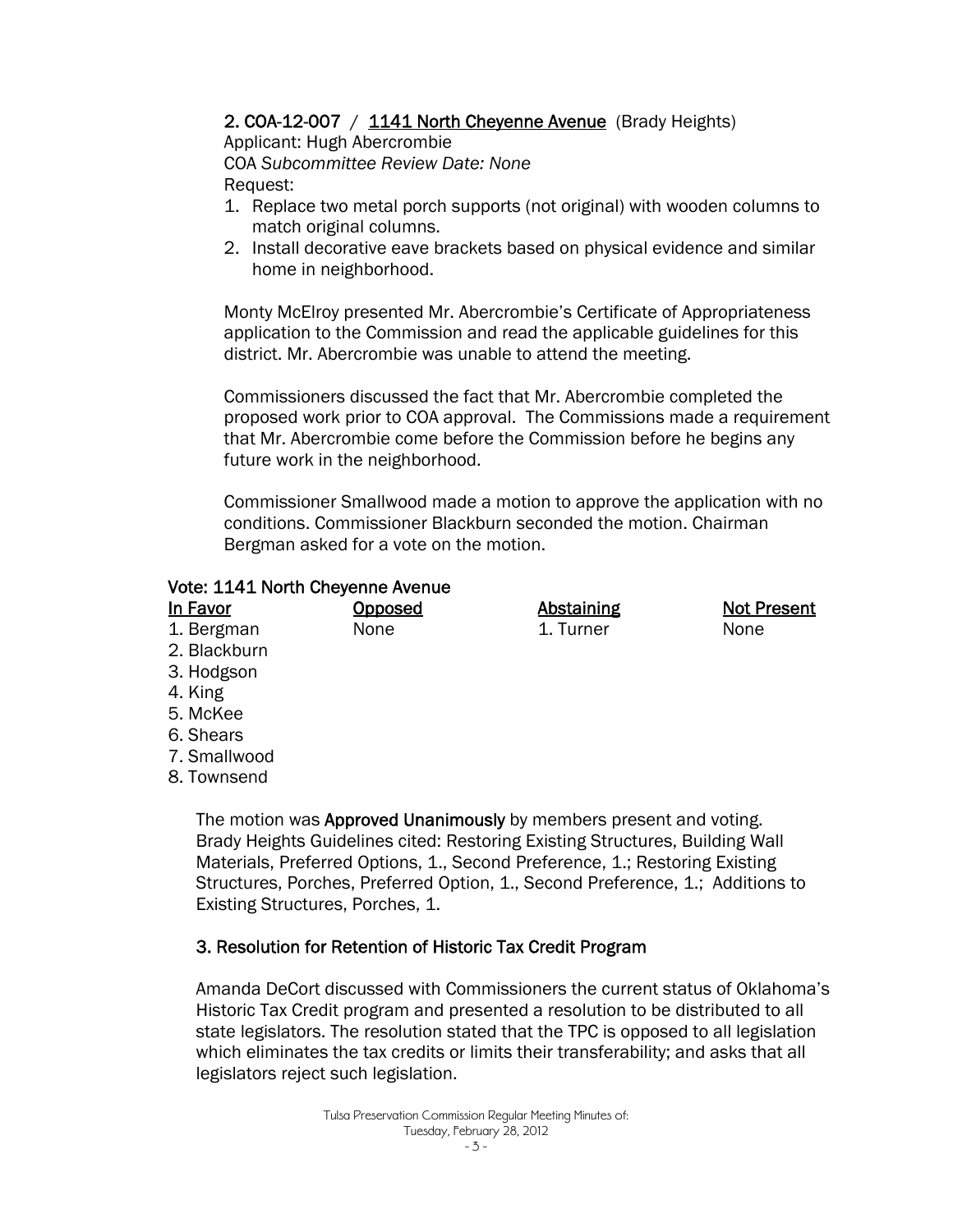#### 2. COA-12-007 / 1141 North Cheyenne Avenue (Brady Heights)

Applicant: Hugh Abercrombie COA *Subcommittee Review Date: None*  Request:

- 1. Replace two metal porch supports (not original) with wooden columns to match original columns.
- 2. Install decorative eave brackets based on physical evidence and similar home in neighborhood.

Monty McElroy presented Mr. Abercrombie's Certificate of Appropriateness application to the Commission and read the applicable guidelines for this district. Mr. Abercrombie was unable to attend the meeting.

Commissioners discussed the fact that Mr. Abercrombie completed the proposed work prior to COA approval. The Commissions made a requirement that Mr. Abercrombie come before the Commission before he begins any future work in the neighborhood.

Commissioner Smallwood made a motion to approve the application with no conditions. Commissioner Blackburn seconded the motion. Chairman Bergman asked for a vote on the motion.

#### Vote: 1141 North Cheyenne Avenue

| In Favor     | <b>Opposed</b> | <b>Abstaining</b> | <b>Not Present</b> |
|--------------|----------------|-------------------|--------------------|
| 1. Bergman   | None           | 1. Turner         | None               |
| 2. Blackburn |                |                   |                    |
| 3. Hodgson   |                |                   |                    |
| 4. King      |                |                   |                    |
| 5. McKee     |                |                   |                    |

- 6. Shears
- 7. Smallwood
- 8. Townsend

The motion was **Approved Unanimously** by members present and voting. Brady Heights Guidelines cited: Restoring Existing Structures, Building Wall Materials, Preferred Options, 1., Second Preference, 1.; Restoring Existing Structures, Porches, Preferred Option, 1., Second Preference, 1.; Additions to Existing Structures, Porches, 1.

#### 3. Resolution for Retention of Historic Tax Credit Program

Amanda DeCort discussed with Commissioners the current status of Oklahoma's Historic Tax Credit program and presented a resolution to be distributed to all state legislators. The resolution stated that the TPC is opposed to all legislation which eliminates the tax credits or limits their transferability; and asks that all legislators reject such legislation.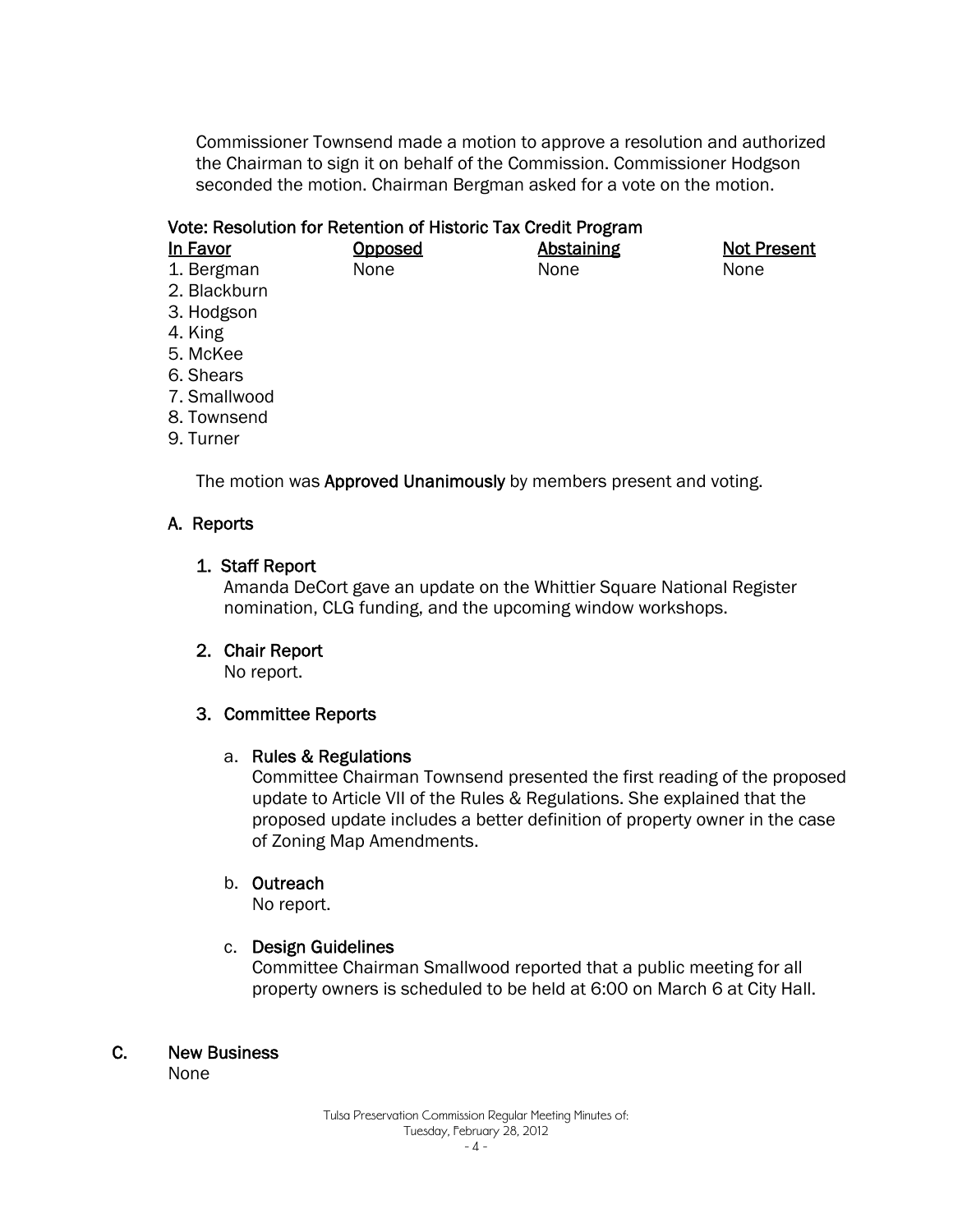Commissioner Townsend made a motion to approve a resolution and authorized the Chairman to sign it on behalf of the Commission. Commissioner Hodgson seconded the motion. Chairman Bergman asked for a vote on the motion.

#### Vote: Resolution for Retention of Historic Tax Credit Program

| In Favor   | Opposed |  |
|------------|---------|--|
| 1. Bergman | None    |  |

**Abstaining** None

Not Present None

- 1. Bergman 2. Blackburn
- 3. Hodgson
- 4. King
- 5. McKee
- 6. Shears
- 7. Smallwood
- 8. Townsend
- 9. Turner

The motion was **Approved Unanimously** by members present and voting.

#### A. Reports

#### 1. Staff Report

Amanda DeCort gave an update on the Whittier Square National Register nomination, CLG funding, and the upcoming window workshops.

#### 2. Chair Report

No report.

#### 3. Committee Reports

#### a. Rules & Regulations

Committee Chairman Townsend presented the first reading of the proposed update to Article VII of the Rules & Regulations. She explained that the proposed update includes a better definition of property owner in the case of Zoning Map Amendments.

#### b. Outreach

No report.

#### c. Design Guidelines

Committee Chairman Smallwood reported that a public meeting for all property owners is scheduled to be held at 6:00 on March 6 at City Hall.

#### C. New Business

None